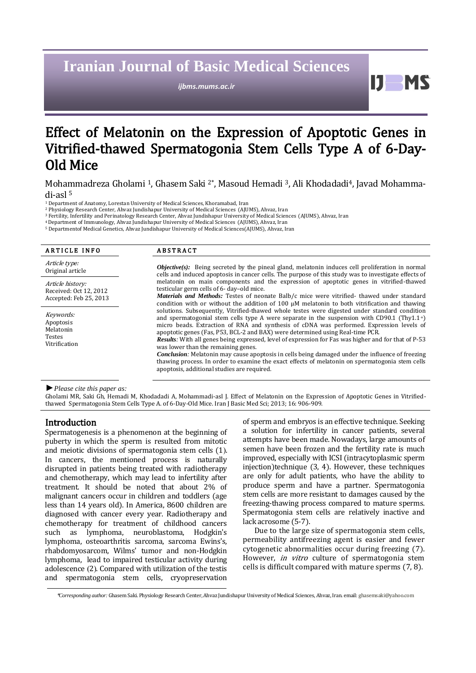# **Iranian Journal of Basic Medical Sciences**

*ijbms.mums.ac.ir*

11 **MS** 

## Effect of Melatonin on the Expression of Apoptotic Genes in Vitrified-thawed Spermatogonia Stem Cells Type A of 6-Day-Old Mice

Mohammadreza Gholami <sup>1</sup>, Ghasem Saki <sup>2\*</sup>, Masoud Hemadi <sup>3</sup>, Ali Khodadadi<sup>4</sup>, Javad Mohammadi-asl <sup>5</sup>

<sup>1</sup> Department of Anatomy, Lorestan University of Medical Sciences, Khoramabad, Iran

<sup>2</sup> Physiology Research Center, Ahvaz Jundishapur University of Medical Sciences (AJUMS), Ahvaz, Iran

<sup>4</sup>Department of Immunology, Ahvaz Jundishapur University of Medical Sciences (AJUMS), Ahvaz, Iran

<sup>5</sup> Departmentof Medical Genetics, Ahvaz Jundishapur University of Medical Sciences(AJUMS), Ahvaz, Iran

| <b>ARTICLE INFO</b>                                                  | <b>ABSTRACT</b>                                                                                                                                                                                                                                                                                                                                                                                                                                                                                                                                                                                                                                                                                                                                                                                           |  |
|----------------------------------------------------------------------|-----------------------------------------------------------------------------------------------------------------------------------------------------------------------------------------------------------------------------------------------------------------------------------------------------------------------------------------------------------------------------------------------------------------------------------------------------------------------------------------------------------------------------------------------------------------------------------------------------------------------------------------------------------------------------------------------------------------------------------------------------------------------------------------------------------|--|
| Article type:<br>Original article                                    | <b><i>Objective(s)</i></b> : Being secreted by the pineal gland, melatonin induces cell proliferation in normal<br>cells and induced apoptosis in cancer cells. The purpose of this study was to investigate effects of<br>melatonin on main components and the expression of apoptotic genes in vitrified-thawed<br>testicular germ cells of 6- day-old mice.<br>Materials and Methods: Testes of neonate Balb/c mice were vitrified- thawed under standard<br>condition with or without the addition of 100 $\mu$ M melatonin to both vitrification and thawing                                                                                                                                                                                                                                         |  |
| Article history:<br>Received: Oct 12, 2012<br>Accepted: Feb 25, 2013 |                                                                                                                                                                                                                                                                                                                                                                                                                                                                                                                                                                                                                                                                                                                                                                                                           |  |
| Keywords:<br>Apoptosis<br>Melatonin<br>Testes<br>Vitrification       | solutions. Subsequently, Vitrified-thawed whole testes were digested under standard condition<br>and spermatogonial stem cells type A were separate in the suspension with CD90.1 (Thy1.1 <sup>+</sup> )<br>micro beads. Extraction of RNA and synthesis of cDNA was performed. Expression levels of<br>apoptotic genes (Fas, P53, BCL-2 and BAX) were determined using Real-time PCR.<br><b>Results:</b> With all genes being expressed, level of expression for Fas was higher and for that of P-53<br>was lower than the remaining genes.<br><i>Conclusion:</i> Melatonin may cause apoptosis in cells being damaged under the influence of freezing<br>thawing process. In order to examine the exact effects of melatonin on spermatogonia stem cells<br>apoptosis, additional studies are required. |  |

*►Please cite this paper as:*

Gholami MR, Saki Gh, Hemadi M, Khodadadi A, Mohammadi-asl J. Effect of Melatonin on the Expression of Apoptotic Genes in Vitrifiedthawed Spermatogonia Stem Cells Type A. of 6-Day-Old Mice. Iran J Basic Med Sci; 2013; 16: 906-909.

## Introduction

Spermatogenesis is a phenomenon at the beginning of puberty in which the sperm is resulted from mitotic and meiotic divisions of spermatogonia stem cells (1). In cancers, the mentioned process is naturally disrupted in patients being treated with radiotherapy and chemotherapy, which may lead to infertility after treatment. It should be noted that about 2% of malignant cancers occur in children and toddlers (age less than 14 years old). In America, 8600 children are diagnosed with cancer every year. Radiotherapy and chemotherapy for treatment of childhood cancers such as lymphoma, neuroblastoma, Hodgkin's lymphoma, osteoarthritis sarcoma, sarcoma Ewins's, rhabdomyosarcom, Wilms' tumor and non-Hodgkin lymphoma, lead to impaired testicular activity during adolescence (2). Compared with utilization of the testis and spermatogonia stem cells, cryopreservation of sperm and embryos is an effective technique. Seeking a solution for infertility in cancer patients, several attempts have been made. Nowadays, large amounts of semen have been frozen and the fertility rate is much improved, especially with ICSI (intracytoplasmic sperm injection)technique (3, 4). However, these techniques are only for adult patients, who have the ability to produce sperm and have a partner. Spermatogonia stem cells are more resistant to damages caused by the freezing-thawing process compared to mature sperms. Spermatogonia stem cells are relatively inactive and lack acrosome (5-7).

Due to the large size of spermatogonia stem cells, permeability antifreezing agent is easier and fewer cytogenetic abnormalities occur during freezing (7). However, *in vitro* culture of spermatogonia stem cells is difficult compared with mature sperms (7, 8).

\**Corresponding author:* Ghasem Saki. Physiology Research Center, Ahvaz Jundishapur University of Medical Sciences, Ahvaz, Iran. email: ghasemsaki@yahoo.com

<sup>3</sup> Fertility, Infertility and Perinatology Research Center, Ahvaz Jundishapur University of Medical Sciences (AJUMS), Ahvaz, Iran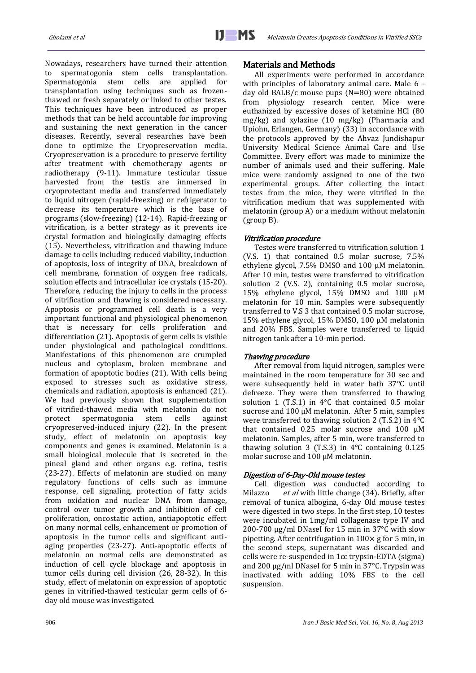Nowadays, researchers have turned their attention to spermatogonia stem cells transplantation. Spermatogonia stem cells are applied for transplantation using techniques such as frozenthawed or fresh separately or linked to other testes. This techniques have been introduced as proper methods that can be held accountable for improving and sustaining the next generation in the cancer diseases. Recently, several researches have been done to optimize the Cryopreservation media. Cryopreservation is a procedure to preserve fertility after treatment with chemotherapy agents or radiotherapy (9-11). Immature testicular tissue harvested from the testis are immersed in cryoprotectant media and transferred immediately to liquid nitrogen (rapid-freezing) or refrigerator to decrease its temperature which is the base of programs (slow-freezing) (12-14). Rapid-freezing or vitrification, is a better strategy as it prevents ice crystal formation and biologically damaging effects (15). Nevertheless, vitrification and thawing induce damage to cells including reduced viability, induction of apoptosis, loss of integrity of DNA, breakdown of cell membrane, formation of oxygen free radicals, solution effects and intracellular ice crystals (15-20). Therefore, reducing the injury to cells in the process of vitrification and thawing is considered necessary. Apoptosis or programmed cell death is a very important functional and physiological phenomenon that is necessary for cells proliferation and differentiation (21). Apoptosis of germ cells is visible under physiological and pathological conditions. Manifestations of this phenomenon are crumpled nucleus and cytoplasm, broken membrane and formation of apoptotic bodies (21). With cells being exposed to stresses such as oxidative stress, chemicals and radiation, apoptosis is enhanced (21). We had previously shown that supplementation of vitrified-thawed media with melatonin do not protect spermatogonia stem cells against cryopreserved-induced injury (22). In the present study, effect of melatonin on apoptosis key components and genes is examined. Melatonin is a small biological molecule that is secreted in the pineal gland and other organs e.g. retina, testis (23-27). Effects of melatonin are studied on many regulatory functions of cells such as immune response, cell signaling, protection of fatty acids from oxidation and nuclear DNA from damage, control over tumor growth and inhibition of cell proliferation, oncostatic action, antiapoptotic effect on many normal cells, enhancement or promotion of apoptosis in the tumor cells and significant antiaging properties (23-27). Anti-apoptotic effects of melatonin on normal cells are demonstrated as induction of cell cycle blockage and apoptosis in tumor cells during cell division (26, 28-32). In this study, effect of melatonin on expression of apoptotic genes in vitrified-thawed testicular germ cells of 6 day old mouse was investigated.

## Materials and Methods

All experiments were performed in accordance with principles of laboratory animal care. Male 6 day old BALB/c mouse pups (N=80) were obtained from physiology research center. Mice were euthanized by excessive doses of ketamine HCl (80 mg/kg) and xylazine (10 mg/kg) (Pharmacia and Upiohn, Erlangen, Germany) (33) in accordance with the protocols approved by the Ahvaz Jundishapur University Medical Science Animal Care and Use Committee. Every effort was made to minimize the number of animals used and their suffering. Male mice were randomly assigned to one of the two experimental groups. After collecting the intact testes from the mice, they were vitrified in the vitrification medium that was supplemented with melatonin (group A) or a medium without melatonin (group B).

## Vitrification procedure

Testes were transferred to vitrification solution 1 (V.S. 1) that contained 0.5 molar sucrose, 7.5% ethylene glycol, 7.5% DMSO and 100 μM melatonin. After 10 min, testes were transferred to vitrification solution 2 (V.S. 2), containing 0.5 molar sucrose, 15% ethylene glycol, 15% DMSO and 100 μM melatonin for 10 min. Samples were subsequently transferred to V.S 3 that contained 0.5 molar sucrose, 15% ethylene glycol, 15% DMSO, 100 μM melatonin and 20% FBS. Samples were transferred to liquid nitrogen tank after a 10-min period.

### Thawing procedure

After removal from liquid nitrogen, samples were maintained in the room temperature for 30 sec and were subsequently held in water bath 37°C until defreeze. They were then transferred to thawing solution 1 (T.S.1) in 4°C that contained 0.5 molar sucrose and 100 μM melatonin. After 5 min, samples were transferred to thawing solution 2 (T.S.2) in 4°C that contained 0.25 molar sucrose and 100 μM melatonin. Samples, after 5 min, were transferred to thawing solution 3 (T.S.3) in 4°C containing 0.125 molar sucrose and 100 μM melatonin.

## Digestion of 6-Day-Old mouse testes

Cell digestion was conducted according to Milazzo *et al* with little change (34). Briefly, after removal of tunica albogina, 6-day Old mouse testes were digested in two steps. In the first step, 10 testes were incubated in 1mg/ml collagenase type ΙV and 200-700 µg/ml DNaseΙ for 15 min in 37°C with slow pipetting. After centrifugation in  $100 \times g$  for 5 min, in the second steps, supernatant was discarded and cells were re-suspended in 1cc trypsin-EDTA (sigma) and 200 µg/ml DNaseΙ for 5 min in 37°C. Trypsin was inactivated with adding 10% FBS to the cell suspension.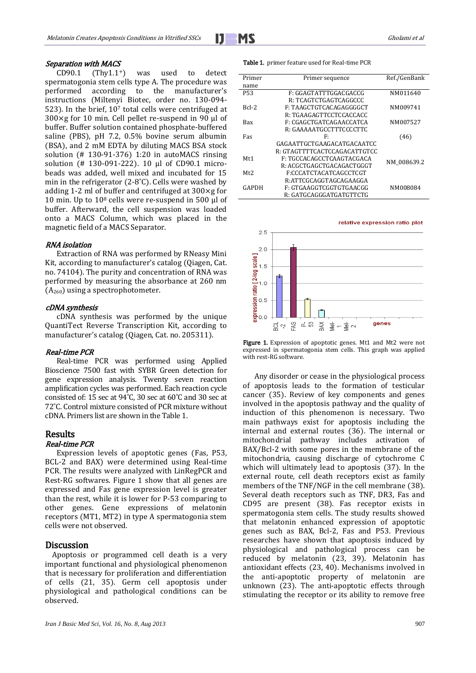

#### Separation with MACS

CD90.1 (Thy1.1+) was used to detect spermatogonia stem cells type A. The procedure was performed according to the manufacturer's instructions (Miltenyi Biotec, order no. 130-094- 523). In the brief,  $10<sup>7</sup>$  total cells were centrifuged at  $300 \times g$  for 10 min. Cell pellet re-suspend in 90  $\mu$ l of buffer. Buffer solution contained phosphate-buffered saline (PBS), pH 7.2, 0.5% bovine serum albumin (BSA), and 2 mM EDTA by diluting MACS BSA stock solution (# 130-91-376) 1:20 in autoMACS rinsing solution (# 130-091-222). 10 µl of CD90.1 microbeads was added, well mixed and incubated for 15 min in the refrigerator (2-8˚C). Cells were washed by adding 1-2 ml of buffer and centrifuged at  $300 \times g$  for 10 min. Up to  $10^8$  cells were re-suspend in 500 µl of buffer. Afterward, the cell suspension was loaded onto a MACS Column, which was placed in the magnetic field of a MACS Separator.

#### RNA isolation

Extraction of RNA was performed by RNeasy Mini Kit, according to manufacturer's catalog (Qiagen, Cat. no. 74104). The purity and concentration of RNA was performed by measuring the absorbance at 260 nm  $(A<sub>260</sub>)$  using a spectrophotometer.

#### cDNA synthesis

cDNA synthesis was performed by the unique QuantiTect Reverse Transcription Kit, according to manufacturer's catalog (Qiagen, Cat. no. 205311).

#### Real-time PCR

Real-time PCR was performed using Applied Bioscience 7500 fast with SYBR Green detection for gene expression analysis. Twenty seven reaction amplification cycles was performed. Each reaction cycle consisted of: 15 sec at 94˚C, 30 sec at 60˚C and 30 sec at 72˚C. Control mixture consisted of PCR mixture without cDNA. Primers list are shown in the Table 1.

#### Results Real-time PCR

Expression levels of apoptotic genes (Fas, P53, BCL-2 and BAX) were determined using Real-time PCR. The results were analyzed with LinRegPCR and Rest-RG softwares. Figure 1 show that all genes are expressed and Fas gene expression level is greater than the rest, while it is lower for P-53 comparing to other genes. Gene expressions of melatonin receptors (MT1, MT2) in type A spermatogonia stem cells were not observed.

## **Discussion**

 Apoptosis or programmed cell death is a very important functional and physiological phenomenon that is necessary for proliferation and differentiation of cells (21, 35). Germ cell apoptosis under physiological and pathological conditions can be observed.

Table 1. primer feature used for Real-time PCR

| Primer          | Primer sequence              | Ref./GenBank |
|-----------------|------------------------------|--------------|
| name            |                              |              |
| P <sub>53</sub> | F: GGAGTATTTGGACGACCG        | NM011640     |
|                 | R: TCAGTCTGAGTCAGGCCC        |              |
| $Bcl-2$         | F: TAAGCTGTCACAGAGGGGCT      | NM009741     |
|                 | R: TGAAGAGTTCCTCCACCACC      |              |
| Bax             | F: CGAGCTGATCAGAACCATCA      | NM007527     |
|                 | R: GAAAAATGCCTTTCCCCTTC      |              |
| Fas             | F:                           | (46)         |
|                 | GAGAATTGCTGAAGACATGACAATCC   |              |
|                 | R: GTAGTTTTCACTCCAGACATTGTCC |              |
| Mt1             | F: TGCCACAGCCTCAAGTACGACA    | NM 008639.2  |
|                 | R: ACGCTGAGCTGACAGACTGGGT    |              |
| Mt <sub>2</sub> | F:CCCATCTACATCAGCCTCGT       |              |
|                 | R:ATTCGCAGGTAGCAGAAGGA       |              |
| GAPDH           | F: GTGAAGGTCGGTGTGAACGG      | NM008084     |
|                 | R: GATGCAGGGATGATGTTCTG      |              |



Figure 1. Expression of apoptotic genes. Mt1 and Mt2 were not expressed in spermatogonia stem cells. This graph was applied with rest-RG software.

Any disorder or cease in the physiological process of apoptosis leads to the formation of testicular cancer (35). Review of key components and genes involved in the apoptosis pathway and the quality of induction of this phenomenon is necessary. Two main pathways exist for apoptosis including the internal and external routes (36). The internal or mitochondrial pathway includes activation of BAX/Bcl-2 with some pores in the membrane of the mitochondria, causing discharge of cytochrome C which will ultimately lead to apoptosis (37). In the external route, cell death receptors exist as family members of the TNF/NGF in the cell membrane (38). Several death receptors such as TNF, DR3, Fas and CD95 are present (38). Fas receptor exists in spermatogonia stem cells. The study results showed that melatonin enhanced expression of apoptotic genes such as BAX, Bcl-2, Fas and P53. Previous researches have shown that apoptosis induced by physiological and pathological process can be reduced by melatonin (23, 39). Melatonin has antioxidant effects (23, 40). Mechanisms involved in the anti-apoptotic property of melatonin are unknown (23). The anti-apoptotic effects through stimulating the receptor or its ability to remove free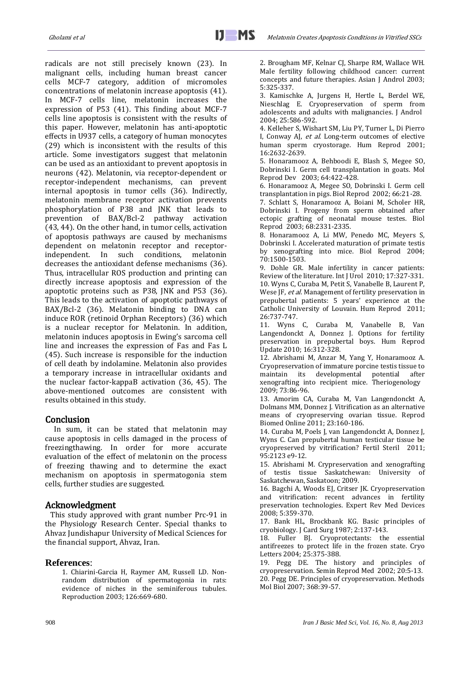radicals are not still precisely known (23). In malignant cells, including human breast cancer cells MCF-7 category, addition of micromoles concentrations of melatonin increase apoptosis (41). In MCF-7 cells line, melatonin increases the expression of P53 (41). This finding about MCF-7 cells line apoptosis is consistent with the results of this paper. However, melatonin has anti-apoptotic effects in U937 cells, a category of human monocytes (29) which is inconsistent with the results of this article. Some investigators suggest that melatonin can be used as an antioxidant to prevent apoptosis in neurons (42). Melatonin, via receptor-dependent or receptor-independent mechanisms, can prevent internal apoptosis in tumor cells (36). Indirectly, melatonin membrane receptor activation prevents phosphorylation of P38 and JNK that leads to prevention of BAX/Bcl-2 pathway activation (43, 44). On the other hand, in tumor cells, activation of apoptosis pathways are caused by mechanisms dependent on melatonin receptor and receptorindependent. In such conditions, melatonin decreases the antioxidant defense mechanisms (36). Thus, intracellular ROS production and printing can directly increase apoptosis and expression of the apoptotic proteins such as P38, JNK and P53 (36). This leads to the activation of apoptotic pathways of BAX/Bcl-2 (36). Melatonin binding to DNA can induce ROR (retinoid Orphan Receptors) (36) which is a nuclear receptor for Melatonin. In addition, melatonin induces apoptosis in Ewing's sarcoma cell line and increases the expression of Fas and Fas L (45). Such increase is responsible for the induction of cell death by indolamine. Melatonin also provides a temporary increase in intracellular oxidants and the nuclear factor-kappaB activation (36, 45). The above-mentioned outcomes are consistent with results obtained in this study.

## Conclusion

 In sum, it can be stated that melatonin may cause apoptosis in cells damaged in the process of freezingthawing. In order for more accurate evaluation of the effect of melatonin on the process of freezing thawing and to determine the exact mechanism on apoptosis in spermatogonia stem cells, further studies are suggested.

## Acknowledgment

 This study approved with grant number Prc-91 in the Physiology Research Center. Special thanks to Ahvaz Jundishapur University of Medical Sciences for the financial support, Ahvaz, Iran.

## **References**:

1. Chiarini-Garcia H, Raymer AM, Russell LD. Nonrandom distribution of spermatogonia in rats: evidence of niches in the seminiferous tubules. Reproduction 2003; 126:669-680.

2. Brougham MF, Kelnar CJ, Sharpe RM, Wallace WH. Male fertility following childhood cancer: current concepts and future therapies. Asian J Androl 2003; 5:325-337.

3. Kamischke A, Jurgens H, Hertle L, Berdel WE, Nieschlag E. Cryopreservation of sperm from adolescents and adults with malignancies. J Androl 2004; 25:586-592.

4. Kelleher S, Wishart SM, Liu PY, Turner L, Di Pierro I, Conway AJ, et al. Long-term outcomes of elective human sperm cryostorage. Hum Reprod 2001; 16:2632-2639.

5. Honaramooz A, Behboodi E, Blash S, Megee SO, Dobrinski I. Germ cell transplantation in goats. Mol Reprod Dev 2003; 64:422-428.

6. Honaramooz A, Megee SO, Dobrinski I. Germ cell transplantation in pigs. Biol Reprod 2002; 66:21-28. 7. Schlatt S, Honaramooz A, Boiani M, Scholer HR, Dobrinski I. Progeny from sperm obtained after ectopic grafting of neonatal mouse testes. Biol Reprod 2003; 68:2331-2335.

8. Honaramooz A, Li MW, Penedo MC, Meyers S, Dobrinski I. Accelerated maturation of primate testis by xenografting into mice. Biol Reprod 2004; 70:1500-1503.

9. Dohle GR. Male infertility in cancer patients: Review of the literature. Int J Urol 2010; 17:327-331. 10. Wyns C, Curaba M, Petit S, Vanabelle B, Laurent P, Wese JF, et al. Management of fertility preservation in prepubertal patients: 5 years' experience at the Catholic University of Louvain. Hum Reprod 2011; 26:737-747.

11. Wyns C, Curaba M, Vanabelle B, Van Langendonckt A, Donnez J. Options for fertility preservation in prepubertal boys. Hum Reprod Update 2010; 16:312-328.

12. Abrishami M, Anzar M, Yang Y, Honaramooz A. Cryopreservation of immature porcine testis tissue to maintain its developmental potential after xenografting into recipient mice. Theriogenology 2009; 73:86-96.

13. Amorim CA, Curaba M, Van Langendonckt A, Dolmans MM, Donnez J. Vitrification as an alternative means of cryopreserving ovarian tissue. Reprod Biomed Online 2011; 23:160-186.

14. Curaba M, Poels J, van Langendonckt A, Donnez J, Wyns C. Can prepubertal human testicular tissue be cryopreserved by vitrification? Fertil Steril 2011; 95:2123 e9-12.

15. Abrishami M. Crypreservation and xenografting of testis tissue Saskatchewan: University of Saskatchewan, Saskatoon; 2009.

16. Bagchi A, Woods EJ, Critser JK. Cryopreservation and vitrification: recent advances in fertility preservation technologies. Expert Rev Med Devices 2008; 5:359-370.

17. Bank HL, Brockbank KG. Basic principles of cryobiology. J Card Surg 1987; 2:137-143.

18. Fuller BJ. Cryoprotectants: the essential antifreezes to protect life in the frozen state. Cryo Letters 2004; 25:375-388.

19. Pegg DE. The history and principles of cryopreservation. Semin Reprod Med 2002; 20:5-13. 20. Pegg DE. Principles of cryopreservation. Methods Mol Biol 2007; 368:39-57.